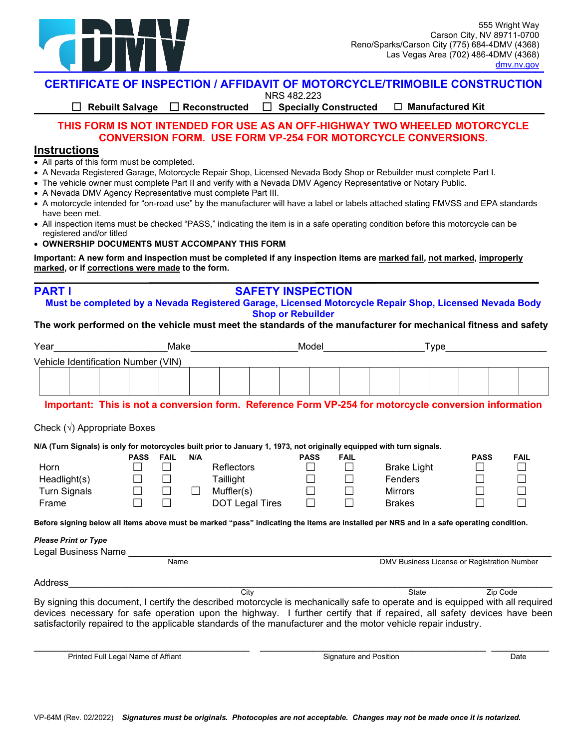

**CERTIFICATE OF INSPECTION / AFFIDAVIT OF MOTORCYCLE/TRIMOBILE CONSTRUCTION**

NRS 482.223

 **Rebuilt Salvage Reconstructed Specially Constructed Manufactured Kit** 

## **THIS FORM IS NOT INTENDED FOR USE AS AN OFF-HIGHWAY TWO WHEELED MOTORCYCLE CONVERSION FORM. USE FORM VP-254 FOR MOTORCYCLE CONVERSIONS.**

#### **Instructions**

**PART I** 

- All parts of this form must be completed.
- A Nevada Registered Garage, Motorcycle Repair Shop, Licensed Nevada Body Shop or Rebuilder must complete Part I.
- The vehicle owner must complete Part II and verify with a Nevada DMV Agency Representative or Notary Public.
- A Nevada DMV Agency Representative must complete Part III.
- • A motorcycle intended for "on-road use" by the manufacturer will have a label or labels attached stating FMVSS and EPA standards have been met.
- • All inspection items must be checked "PASS," indicating the item is in a safe operating condition before this motorcycle can be registered and/or titled
- **OWNERSHIP DOCUMENTS MUST ACCOMPANY THIS FORM**

 **marked, or if corrections were made to the form. Important: A new form and inspection must be completed if any inspection items are marked fail, not marked, improperly**

## **SAFETY INSPECTION**

**Must be completed by a Nevada Registered Garage, Licensed Motorcycle Repair Shop, Licensed Nevada Body Shop or Rebuilder**

#### **The work performed on the vehicle must meet the standards of the manufacturer for mechanical fitness and safety**

| Year                                                                                                                                                                                                      | Make        |             |     |                                                                                                                       | Model       |              | Type                                        |             |                             |  |  |
|-----------------------------------------------------------------------------------------------------------------------------------------------------------------------------------------------------------|-------------|-------------|-----|-----------------------------------------------------------------------------------------------------------------------|-------------|--------------|---------------------------------------------|-------------|-----------------------------|--|--|
| Vehicle Identification Number (VIN)                                                                                                                                                                       |             |             |     |                                                                                                                       |             |              |                                             |             |                             |  |  |
|                                                                                                                                                                                                           |             |             |     |                                                                                                                       |             |              |                                             |             |                             |  |  |
|                                                                                                                                                                                                           |             |             |     |                                                                                                                       |             |              |                                             |             |                             |  |  |
|                                                                                                                                                                                                           |             |             |     | Important: This is not a conversion form. Reference Form VP-254 for motorcycle conversion information                 |             |              |                                             |             |                             |  |  |
|                                                                                                                                                                                                           |             |             |     |                                                                                                                       |             |              |                                             |             |                             |  |  |
| Check $(\sqrt{})$ Appropriate Boxes                                                                                                                                                                       |             |             |     |                                                                                                                       |             |              |                                             |             |                             |  |  |
|                                                                                                                                                                                                           |             |             |     | N/A (Turn Signals) is only for motorcycles built prior to January 1, 1973, not originally equipped with turn signals. |             |              |                                             |             |                             |  |  |
|                                                                                                                                                                                                           | <b>PASS</b> | <b>FAIL</b> | N/A |                                                                                                                       | <b>PASS</b> | <b>FAIL</b>  |                                             | <b>PASS</b> | <b>FAIL</b>                 |  |  |
| Horn                                                                                                                                                                                                      | $\perp$     | $\perp$     |     | <b>Reflectors</b>                                                                                                     | $\perp$     | $\mathsf{L}$ | <b>Brake Light</b>                          | $\Box$      | $\mathcal{L}_{\mathcal{A}}$ |  |  |
| Headlight(s)                                                                                                                                                                                              |             |             |     | Taillight                                                                                                             |             | $\Box$       | Fenders                                     | $\Box$      | $\Box$                      |  |  |
| <b>Turn Signals</b>                                                                                                                                                                                       |             |             |     | Muffler(s)                                                                                                            | $\Box$      | $\Box$       | <b>Mirrors</b>                              | П           | $\Box$                      |  |  |
| Frame                                                                                                                                                                                                     | П           |             |     | DOT Legal Tires                                                                                                       | П           | П            | <b>Brakes</b>                               |             | $\mathcal{L}$               |  |  |
|                                                                                                                                                                                                           |             |             |     |                                                                                                                       |             |              |                                             |             |                             |  |  |
|                                                                                                                                                                                                           |             |             |     |                                                                                                                       |             |              |                                             |             |                             |  |  |
|                                                                                                                                                                                                           |             |             |     |                                                                                                                       |             |              |                                             |             |                             |  |  |
|                                                                                                                                                                                                           |             |             |     |                                                                                                                       |             |              |                                             |             |                             |  |  |
|                                                                                                                                                                                                           |             |             |     |                                                                                                                       |             |              |                                             |             |                             |  |  |
|                                                                                                                                                                                                           |             | <b>Name</b> |     |                                                                                                                       |             |              | DMV Business License or Registration Number |             |                             |  |  |
| Before signing below all items above must be marked "pass" indicating the items are installed per NRS and in a safe operating condition.<br><b>Please Print or Type</b><br>Legal Business Name<br>Address |             |             |     |                                                                                                                       |             |              |                                             |             |                             |  |  |

Printed Full Legal Name of Affiant Signature and Position Date  $\frac{1}{2}$  , and the set of the set of the set of the set of the set of the set of the set of the set of the set of the set of the set of the set of the set of the set of the set of the set of the set of the set of the set